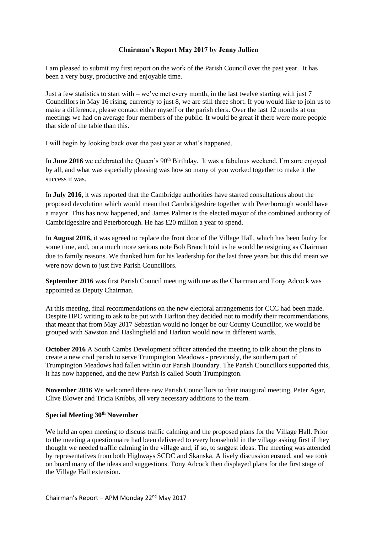## **Chairman's Report May 2017 by Jenny Jullien**

I am pleased to submit my first report on the work of the Parish Council over the past year. It has been a very busy, productive and enjoyable time.

Just a few statistics to start with – we've met every month, in the last twelve starting with just 7 Councillors in May 16 rising, currently to just 8, we are still three short. If you would like to join us to make a difference, please contact either myself or the parish clerk. Over the last 12 months at our meetings we had on average four members of the public. It would be great if there were more people that side of the table than this.

I will begin by looking back over the past year at what's happened.

In **June 2016** we celebrated the Queen's 90<sup>th</sup> Birthday. It was a fabulous weekend, I'm sure enjoyed by all, and what was especially pleasing was how so many of you worked together to make it the success it was.

In **July 2016,** it was reported that the Cambridge authorities have started consultations about the proposed devolution which would mean that Cambridgeshire together with Peterborough would have a mayor. This has now happened, and James Palmer is the elected mayor of the combined authority of Cambridgeshire and Peterborough. He has £20 million a year to spend.

In **August 2016,** it was agreed to replace the front door of the Village Hall, which has been faulty for some time, and, on a much more serious note Bob Branch told us he would be resigning as Chairman due to family reasons. We thanked him for his leadership for the last three years but this did mean we were now down to just five Parish Councillors.

**September 2016** was first Parish Council meeting with me as the Chairman and Tony Adcock was appointed as Deputy Chairman.

At this meeting, final recommendations on the new electoral arrangements for CCC had been made. Despite HPC writing to ask to be put with Harlton they decided not to modify their recommendations, that meant that from May 2017 Sebastian would no longer be our County Councillor, we would be grouped with Sawston and Haslingfield and Harlton would now in different wards.

**October 2016** A South Cambs Development officer attended the meeting to talk about the plans to create a new civil parish to serve Trumpington Meadows - previously, the southern part of Trumpington Meadows had fallen within our Parish Boundary. The Parish Councillors supported this, it has now happened, and the new Parish is called South Trumpington.

**November 2016** We welcomed three new Parish Councillors to their inaugural meeting, Peter Agar, Clive Blower and Tricia Knibbs, all very necessary additions to the team.

## **Special Meeting 30th November**

We held an open meeting to discuss traffic calming and the proposed plans for the Village Hall. Prior to the meeting a questionnaire had been delivered to every household in the village asking first if they thought we needed traffic calming in the village and, if so, to suggest ideas. The meeting was attended by representatives from both Highways SCDC and Skanska. A lively discussion ensued, and we took on board many of the ideas and suggestions. Tony Adcock then displayed plans for the first stage of the Village Hall extension.